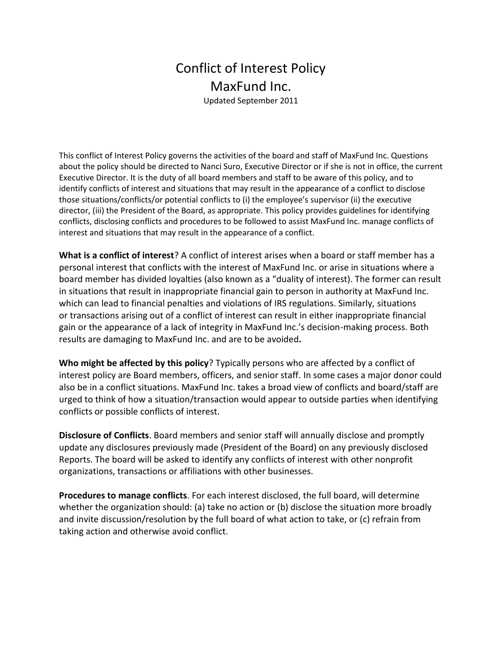## Conflict of Interest Policy MaxFund Inc.

Updated September 2011

This conflict of Interest Policy governs the activities of the board and staff of MaxFund Inc. Questions about the policy should be directed to Nanci Suro, Executive Director or if she is not in office, the current Executive Director. It is the duty of all board members and staff to be aware of this policy, and to identify conflicts of interest and situations that may result in the appearance of a conflict to disclose those situations/conflicts/or potential conflicts to (i) the employee's supervisor (ii) the executive director, (iii) the President of the Board, as appropriate. This policy provides guidelines for identifying conflicts, disclosing conflicts and procedures to be followed to assist MaxFund Inc. manage conflicts of interest and situations that may result in the appearance of a conflict.

**What is a conflict of interest**? A conflict of interest arises when a board or staff member has a personal interest that conflicts with the interest of MaxFund Inc. or arise in situations where a board member has divided loyalties (also known as a "duality of interest). The former can result in situations that result in inappropriate financial gain to person in authority at MaxFund Inc. which can lead to financial penalties and violations of IRS regulations. Similarly, situations or transactions arising out of a conflict of interest can result in either inappropriate financial gain or the appearance of a lack of integrity in MaxFund Inc.'s decision-making process. Both results are damaging to MaxFund Inc. and are to be avoided**.**

**Who might be affected by this policy**? Typically persons who are affected by a conflict of interest policy are Board members, officers, and senior staff. In some cases a major donor could also be in a conflict situations. MaxFund Inc. takes a broad view of conflicts and board/staff are urged to think of how a situation/transaction would appear to outside parties when identifying conflicts or possible conflicts of interest.

**Disclosure of Conflicts**. Board members and senior staff will annually disclose and promptly update any disclosures previously made (President of the Board) on any previously disclosed Reports. The board will be asked to identify any conflicts of interest with other nonprofit organizations, transactions or affiliations with other businesses.

**Procedures to manage conflicts**. For each interest disclosed, the full board, will determine whether the organization should: (a) take no action or (b) disclose the situation more broadly and invite discussion/resolution by the full board of what action to take, or (c) refrain from taking action and otherwise avoid conflict.